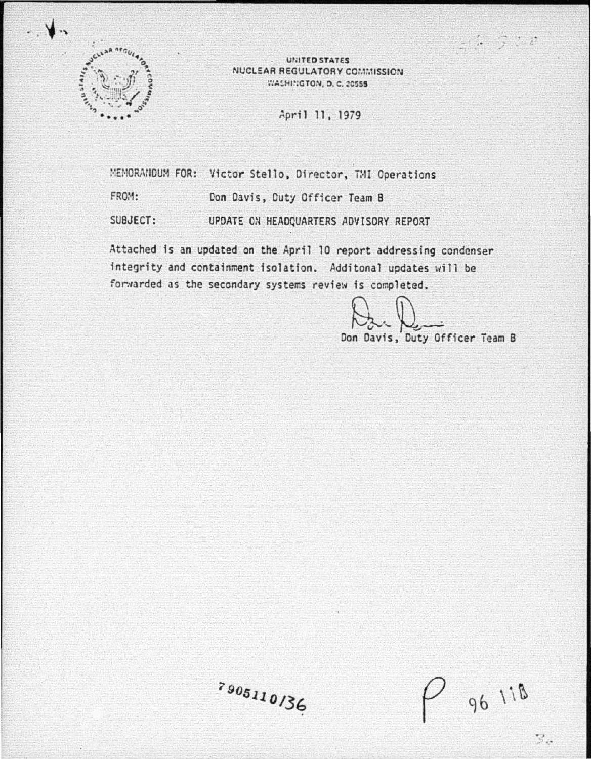

**UNITED STATES** NUCLEAR REGULATORY COMMISSION WASHINGTON, D. C. 20555

April 11, 1979

MEMORANDUM FOR: Victor Stello, Director, TMI Operations FROM: Don Davis, Duty Officer Team B SUBJECT: UPDATE ON HEADQUARTERS ADVISORY REPORT

Attached is an updated on the April 10 report addressing condenser integrity and containment isolation. Additonal updates will be forwarded as the secondary systems review is completed.

Don Davis, Duty Officer Team B

 $\therefore$   $\therefore$   $\therefore$ 

7905110136

96 118

 $\mathbb{Z}_{\alpha}$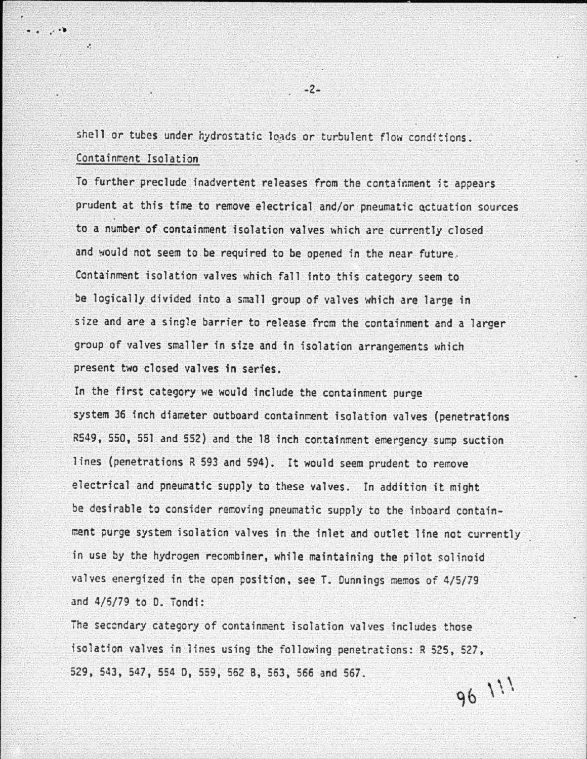shell or tubes under hydrostatic loads or turbulent flow conditions. Containment Isolation

:. • . ,· ..

.~

To further preclude inadvertent releases from the containment it appears prudent at this time to remove electrical and/or pneumatic octuation sources to a number of containment isolation valves which are currently closed and would not seem to be required to be opened in the near future. Containment isolation valves which fall into this category seem to be logically divided into a small group of valves which are large in size and are a single barrier to release from the containment and a larger group of valves smaller in size and in isolation arrangements which present two closed valves in series.

In the first category we would include the containment purge system 36 inch diameter outboard containment isolation valves (penetrations R549, 550, 551 and 552) and the 18 inch containment emergency sump suction lines (penetrations  $R$  593 and 594). It would seem prudent to remove electrical and pneumatic supply to these valves. In addition it might be desirable to consider removing pneumatic supply to the inboard containment purge system isolation valves in the inlet and outlet line not currently in use by the hydrogen recombiner, while maintaining the pilot solinoid valves energized in the open position, see T. Dunnings memos of 4/5/79 and  $4/6/79$  to D. Tondi:

The seccndary category of containment isolation valves includes those isolation valves in lines using the following penetrations: R 525, 527, 529, 543, 547, 554 0, 559, 562 B, 563, 566 and 567. 96 111

-2-